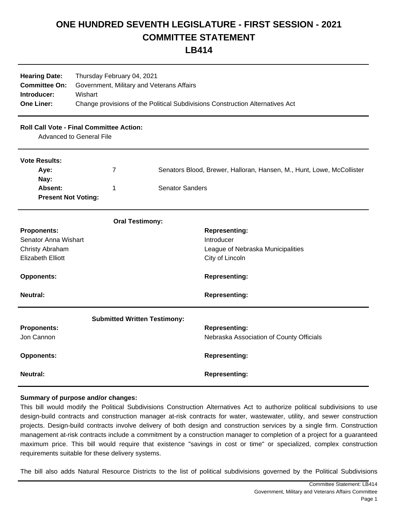## **ONE HUNDRED SEVENTH LEGISLATURE - FIRST SESSION - 2021 COMMITTEE STATEMENT**

**LB414**

| <b>Hearing Date:</b><br><b>Committee On:</b><br>Introducer:<br><b>One Liner:</b>                                                  | Thursday February 04, 2021<br>Government, Military and Veterans Affairs<br>Wishart<br>Change provisions of the Political Subdivisions Construction Alternatives Act |                        |                                                                                                                                            |
|-----------------------------------------------------------------------------------------------------------------------------------|---------------------------------------------------------------------------------------------------------------------------------------------------------------------|------------------------|--------------------------------------------------------------------------------------------------------------------------------------------|
| <b>Roll Call Vote - Final Committee Action:</b><br><b>Advanced to General File</b>                                                |                                                                                                                                                                     |                        |                                                                                                                                            |
| <b>Vote Results:</b><br>Aye:<br>$\overline{7}$<br>Nay:<br>Absent:<br>1<br><b>Present Not Voting:</b>                              |                                                                                                                                                                     | <b>Senator Sanders</b> | Senators Blood, Brewer, Halloran, Hansen, M., Hunt, Lowe, McCollister                                                                      |
| <b>Proponents:</b><br>Senator Anna Wishart<br>Christy Abraham<br><b>Elizabeth Elliott</b><br><b>Opponents:</b><br><b>Neutral:</b> | <b>Oral Testimony:</b>                                                                                                                                              |                        | <b>Representing:</b><br>Introducer<br>League of Nebraska Municipalities<br>City of Lincoln<br><b>Representing:</b><br><b>Representing:</b> |
| <b>Submitted Written Testimony:</b><br><b>Proponents:</b><br>Jon Cannon<br><b>Opponents:</b>                                      |                                                                                                                                                                     |                        | <b>Representing:</b><br>Nebraska Association of County Officials<br><b>Representing:</b>                                                   |
| <b>Neutral:</b>                                                                                                                   |                                                                                                                                                                     |                        | <b>Representing:</b>                                                                                                                       |

## **Summary of purpose and/or changes:**

This bill would modify the Political Subdivisions Construction Alternatives Act to authorize political subdivisions to use design-build contracts and construction manager at-risk contracts for water, wastewater, utility, and sewer construction projects. Design-build contracts involve delivery of both design and construction services by a single firm. Construction management at-risk contracts include a commitment by a construction manager to completion of a project for a guaranteed maximum price. This bill would require that existence "savings in cost or time" or specialized, complex construction requirements suitable for these delivery systems.

The bill also adds Natural Resource Districts to the list of political subdivisions governed by the Political Subdivisions